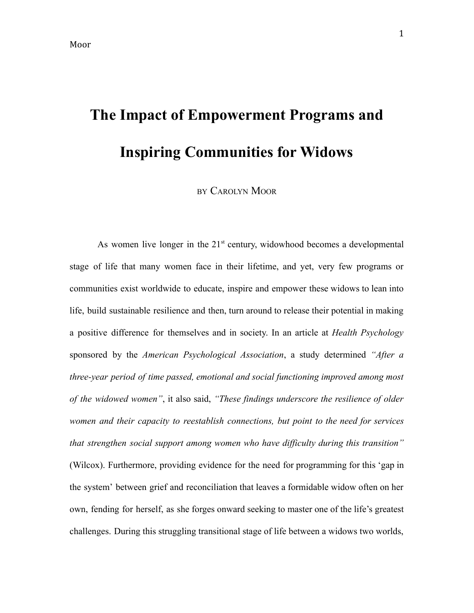# **The Impact of Empowerment Programs and Inspiring Communities for Widows**

BY CAROLYN MOOR

As women live longer in the  $21<sup>st</sup>$  century, widowhood becomes a developmental stage of life that many women face in their lifetime, and yet, very few programs or communities exist worldwide to educate, inspire and empower these widows to lean into life, build sustainable resilience and then, turn around to release their potential in making a positive difference for themselves and in society. In an article at *Health Psychology* sponsored by the *American Psychological Association*, a study determined *"After a three-year period of time passed, emotional and social functioning improved among most of the widowed women"*, it also said, *"These findings underscore the resilience of older women and their capacity to reestablish connections, but point to the need for services that strengthen social support among women who have difficulty during this transition"* (Wilcox). Furthermore, providing evidence for the need for programming for this 'gap in the system' between grief and reconciliation that leaves a formidable widow often on her own, fending for herself, as she forges onward seeking to master one of the life's greatest challenges. During this struggling transitional stage of life between a widows two worlds,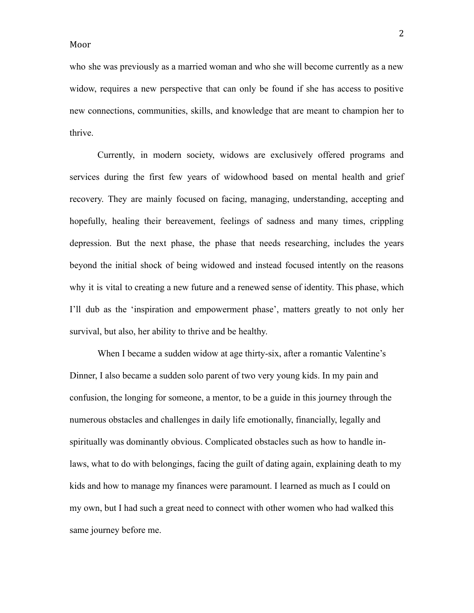who she was previously as a married woman and who she will become currently as a new widow, requires a new perspective that can only be found if she has access to positive new connections, communities, skills, and knowledge that are meant to champion her to thrive.

Currently, in modern society, widows are exclusively offered programs and services during the first few years of widowhood based on mental health and grief recovery. They are mainly focused on facing, managing, understanding, accepting and hopefully, healing their bereavement, feelings of sadness and many times, crippling depression. But the next phase, the phase that needs researching, includes the years beyond the initial shock of being widowed and instead focused intently on the reasons why it is vital to creating a new future and a renewed sense of identity. This phase, which I'll dub as the 'inspiration and empowerment phase', matters greatly to not only her survival, but also, her ability to thrive and be healthy.

When I became a sudden widow at age thirty-six, after a romantic Valentine's Dinner, I also became a sudden solo parent of two very young kids. In my pain and confusion, the longing for someone, a mentor, to be a guide in this journey through the numerous obstacles and challenges in daily life emotionally, financially, legally and spiritually was dominantly obvious. Complicated obstacles such as how to handle inlaws, what to do with belongings, facing the guilt of dating again, explaining death to my kids and how to manage my finances were paramount. I learned as much as I could on my own, but I had such a great need to connect with other women who had walked this same journey before me.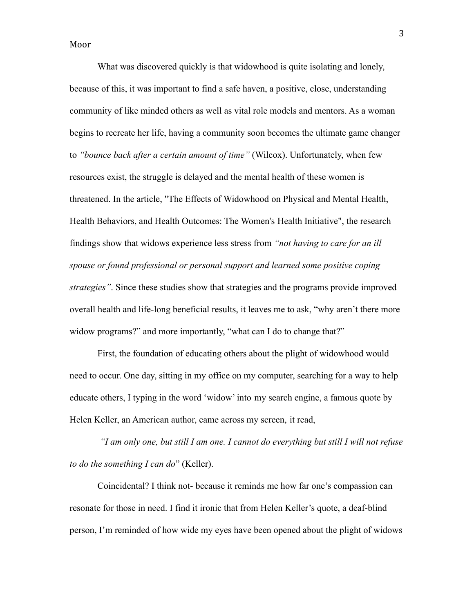What was discovered quickly is that widowhood is quite isolating and lonely, because of this, it was important to find a safe haven, a positive, close, understanding community of like minded others as well as vital role models and mentors. As a woman begins to recreate her life, having a community soon becomes the ultimate game changer to *"bounce back after a certain amount of time"* (Wilcox). Unfortunately, when few resources exist, the struggle is delayed and the mental health of these women is threatened. In the article, "The Effects of Widowhood on Physical and Mental Health, Health Behaviors, and Health Outcomes: The Women's Health Initiative", the research findings show that widows experience less stress from *"not having to care for an ill spouse or found professional or personal support and learned some positive coping strategies"*. Since these studies show that strategies and the programs provide improved overall health and life-long beneficial results, it leaves me to ask, "why aren't there more widow programs?" and more importantly, "what can I do to change that?"

First, the foundation of educating others about the plight of widowhood would need to occur. One day, sitting in my office on my computer, searching for a way to help educate others, I typing in the word 'widow' into my search engine, a famous quote by Helen Keller, an American author, came across my screen, it read,

*"I am only one, but still I am one. I cannot do everything but still I will not refuse to do the something I can do*" (Keller).

Coincidental? I think not- because it reminds me how far one's compassion can resonate for those in need. I find it ironic that from Helen Keller's quote, a deaf-blind person, I'm reminded of how wide my eyes have been opened about the plight of widows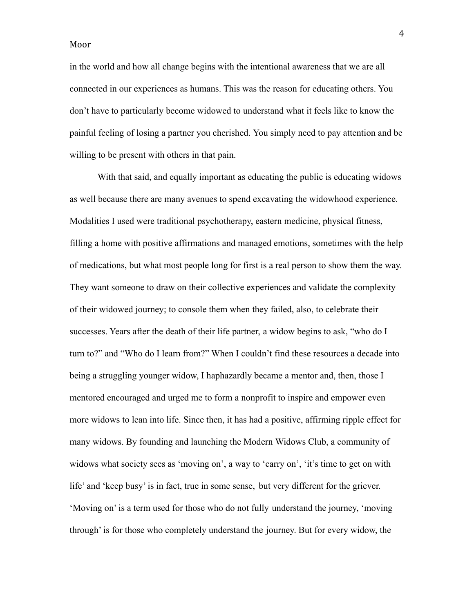in the world and how all change begins with the intentional awareness that we are all connected in our experiences as humans. This was the reason for educating others. You don't have to particularly become widowed to understand what it feels like to know the painful feeling of losing a partner you cherished. You simply need to pay attention and be willing to be present with others in that pain.

With that said, and equally important as educating the public is educating widows as well because there are many avenues to spend excavating the widowhood experience. Modalities I used were traditional psychotherapy, eastern medicine, physical fitness, filling a home with positive affirmations and managed emotions, sometimes with the help of medications, but what most people long for first is a real person to show them the way. They want someone to draw on their collective experiences and validate the complexity of their widowed journey; to console them when they failed, also, to celebrate their successes. Years after the death of their life partner, a widow begins to ask, "who do I turn to?" and "Who do I learn from?" When I couldn't find these resources a decade into being a struggling younger widow, I haphazardly became a mentor and, then, those I mentored encouraged and urged me to form a nonprofit to inspire and empower even more widows to lean into life. Since then, it has had a positive, affirming ripple effect for many widows. By founding and launching the Modern Widows Club, a community of widows what society sees as 'moving on', a way to 'carry on', 'it's time to get on with life' and 'keep busy' is in fact, true in some sense, but very different for the griever. 'Moving on' is a term used for those who do not fully understand the journey, 'moving through' is for those who completely understand the journey. But for every widow, the

4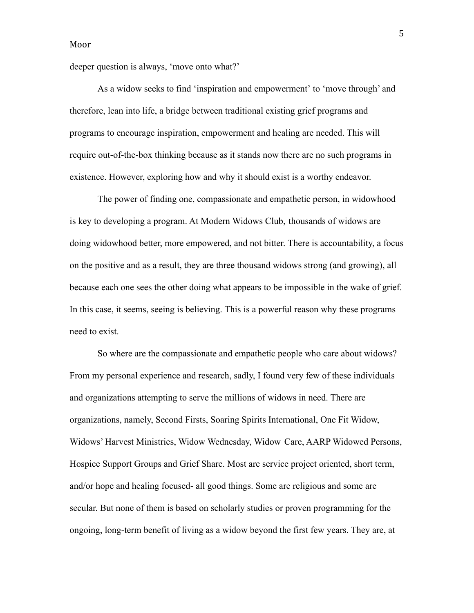deeper question is always, 'move onto what?'

As a widow seeks to find 'inspiration and empowerment' to 'move through' and therefore, lean into life, a bridge between traditional existing grief programs and programs to encourage inspiration, empowerment and healing are needed. This will require out-of-the-box thinking because as it stands now there are no such programs in existence. However, exploring how and why it should exist is a worthy endeavor.

The power of finding one, compassionate and empathetic person, in widowhood is key to developing a program. At Modern Widows Club, thousands of widows are doing widowhood better, more empowered, and not bitter. There is accountability, a focus on the positive and as a result, they are three thousand widows strong (and growing), all because each one sees the other doing what appears to be impossible in the wake of grief. In this case, it seems, seeing is believing. This is a powerful reason why these programs need to exist.

So where are the compassionate and empathetic people who care about widows? From my personal experience and research, sadly, I found very few of these individuals and organizations attempting to serve the millions of widows in need. There are organizations, namely, Second Firsts, Soaring Spirits International, One Fit Widow, Widows' Harvest Ministries, Widow Wednesday, Widow Care, AARP Widowed Persons, Hospice Support Groups and Grief Share. Most are service project oriented, short term, and/or hope and healing focused- all good things. Some are religious and some are secular. But none of them is based on scholarly studies or proven programming for the ongoing, long-term benefit of living as a widow beyond the first few years. They are, at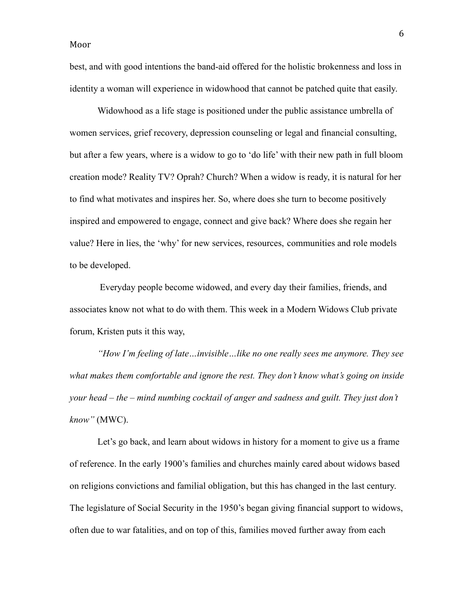best, and with good intentions the band-aid offered for the holistic brokenness and loss in identity a woman will experience in widowhood that cannot be patched quite that easily.

Widowhood as a life stage is positioned under the public assistance umbrella of women services, grief recovery, depression counseling or legal and financial consulting, but after a few years, where is a widow to go to 'do life' with their new path in full bloom creation mode? Reality TV? Oprah? Church? When a widow is ready, it is natural for her to find what motivates and inspires her. So, where does she turn to become positively inspired and empowered to engage, connect and give back? Where does she regain her value? Here in lies, the 'why' for new services, resources, communities and role models to be developed.

Everyday people become widowed, and every day their families, friends, and associates know not what to do with them. This week in a Modern Widows Club private forum, Kristen puts it this way,

*"How I'm feeling of late…invisible…like no one really sees me anymore. They see what makes them comfortable and ignore the rest. They don't know what's going on inside your head – the – mind numbing cocktail of anger and sadness and guilt. They just don't know"* (MWC).

Let's go back, and learn about widows in history for a moment to give us a frame of reference. In the early 1900's families and churches mainly cared about widows based on religions convictions and familial obligation, but this has changed in the last century. The legislature of Social Security in the 1950's began giving financial support to widows, often due to war fatalities, and on top of this, families moved further away from each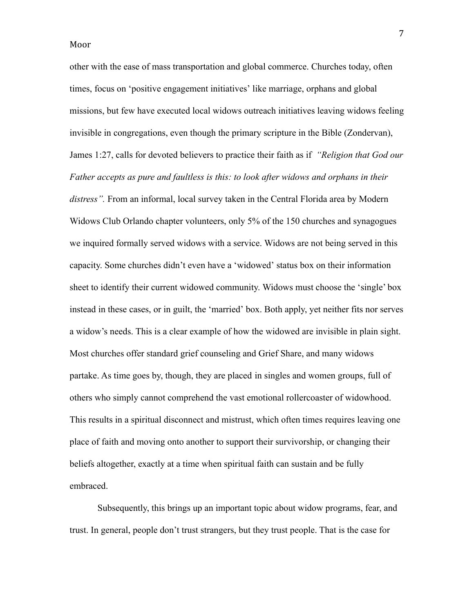other with the ease of mass transportation and global commerce. Churches today, often times, focus on 'positive engagement initiatives' like marriage, orphans and global missions, but few have executed local widows outreach initiatives leaving widows feeling invisible in congregations, even though the primary scripture in the Bible (Zondervan), James 1:27, calls for devoted believers to practice their faith as if *"Religion that God our Father accepts as pure and faultless is this: to look after widows and orphans in their distress".* From an informal, local survey taken in the Central Florida area by Modern Widows Club Orlando chapter volunteers, only 5% of the 150 churches and synagogues we inquired formally served widows with a service. Widows are not being served in this capacity. Some churches didn't even have a 'widowed' status box on their information sheet to identify their current widowed community. Widows must choose the 'single' box instead in these cases, or in guilt, the 'married' box. Both apply, yet neither fits nor serves a widow's needs. This is a clear example of how the widowed are invisible in plain sight. Most churches offer standard grief counseling and Grief Share, and many widows partake. As time goes by, though, they are placed in singles and women groups, full of others who simply cannot comprehend the vast emotional rollercoaster of widowhood. This results in a spiritual disconnect and mistrust, which often times requires leaving one place of faith and moving onto another to support their survivorship, or changing their beliefs altogether, exactly at a time when spiritual faith can sustain and be fully embraced.

Subsequently, this brings up an important topic about widow programs, fear, and trust. In general, people don't trust strangers, but they trust people. That is the case for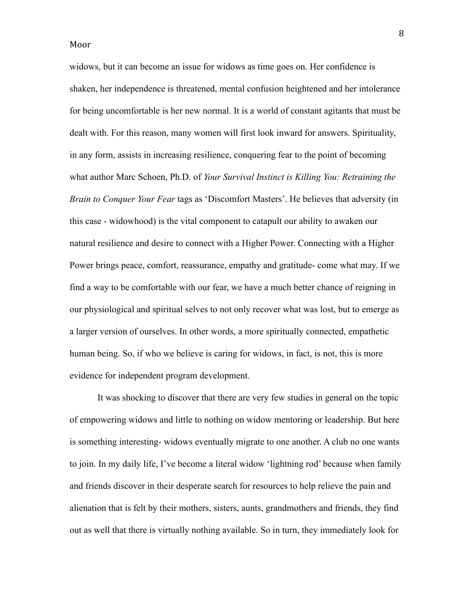widows, but it can become an issue for widows as time goes on. Her confidence is shaken, her independence is threatened, mental confusion heightened and her intolerance for being uncomfortable is her new normal. It is a world of constant agitants that must be dealt with. For this reason, many women will first look inward for answers. Spirituality, in any form, assists in increasing resilience, conquering fear to the point of becoming what author Marc Schoen, Ph.D. of *Your Survival Instinct is Killing You: Retraining the Brain to Conquer Your Fear* tags as 'Discomfort Masters'. He believes that adversity (in this case - widowhood) is the vital component to catapult our ability to awaken our natural resilience and desire to connect with a Higher Power. Connecting with a Higher Power brings peace, comfort, reassurance, empathy and gratitude- come what may. If we find a way to be comfortable with our fear, we have a much better chance of reigning in our physiological and spiritual selves to not only recover what was lost, but to emerge as a larger version of ourselves. In other words, a more spiritually connected, empathetic human being. So, if who we believe is caring for widows, in fact, is not, this is more evidence for independent program development.

It was shocking to discover that there are very few studies in general on the topic of empowering widows and little to nothing on widow mentoring or leadership. But here is something interesting- widows eventually migrate to one another. A club no one wants to join. In my daily life, I've become a literal widow 'lightning rod' because when family and friends discover in their desperate search for resources to help relieve the pain and alienation that is felt by their mothers, sisters, aunts, grandmothers and friends, they find out as well that there is virtually nothing available. So in turn, they immediately look for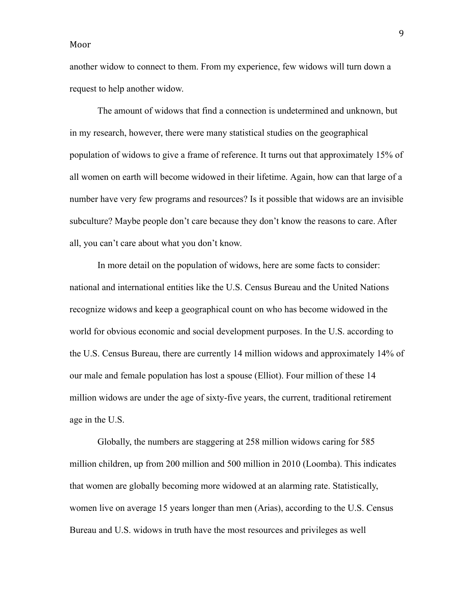another widow to connect to them. From my experience, few widows will turn down a request to help another widow.

The amount of widows that find a connection is undetermined and unknown, but in my research, however, there were many statistical studies on the geographical population of widows to give a frame of reference. It turns out that approximately 15% of all women on earth will become widowed in their lifetime. Again, how can that large of a number have very few programs and resources? Is it possible that widows are an invisible subculture? Maybe people don't care because they don't know the reasons to care. After all, you can't care about what you don't know.

In more detail on the population of widows, here are some facts to consider: national and international entities like the U.S. Census Bureau and the United Nations recognize widows and keep a geographical count on who has become widowed in the world for obvious economic and social development purposes. In the U.S. according to the U.S. Census Bureau, there are currently 14 million widows and approximately 14% of our male and female population has lost a spouse (Elliot). Four million of these 14 million widows are under the age of sixty-five years, the current, traditional retirement age in the U.S.

Globally, the numbers are staggering at 258 million widows caring for 585 million children, up from 200 million and 500 million in 2010 (Loomba). This indicates that women are globally becoming more widowed at an alarming rate. Statistically, women live on average 15 years longer than men (Arias), according to the U.S. Census Bureau and U.S. widows in truth have the most resources and privileges as well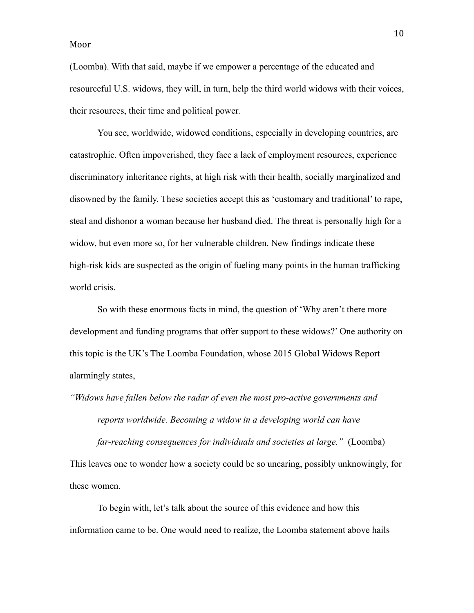(Loomba). With that said, maybe if we empower a percentage of the educated and resourceful U.S. widows, they will, in turn, help the third world widows with their voices, their resources, their time and political power.

You see, worldwide, widowed conditions, especially in developing countries, are catastrophic. Often impoverished, they face a lack of employment resources, experience discriminatory inheritance rights, at high risk with their health, socially marginalized and disowned by the family. These societies accept this as 'customary and traditional' to rape, steal and dishonor a woman because her husband died. The threat is personally high for a widow, but even more so, for her vulnerable children. New findings indicate these high-risk kids are suspected as the origin of fueling many points in the human trafficking world crisis.

So with these enormous facts in mind, the question of 'Why aren't there more development and funding programs that offer support to these widows?' One authority on this topic is the UK's The Loomba Foundation, whose 2015 Global Widows Report alarmingly states,

*"Widows have fallen below the radar of even the most pro-active governments and*

*reports worldwide. Becoming a widow in a developing world can have*

*far-reaching consequences for individuals and societies at large."* (Loomba) This leaves one to wonder how a society could be so uncaring, possibly unknowingly, for these women.

To begin with, let's talk about the source of this evidence and how this information came to be. One would need to realize, the Loomba statement above hails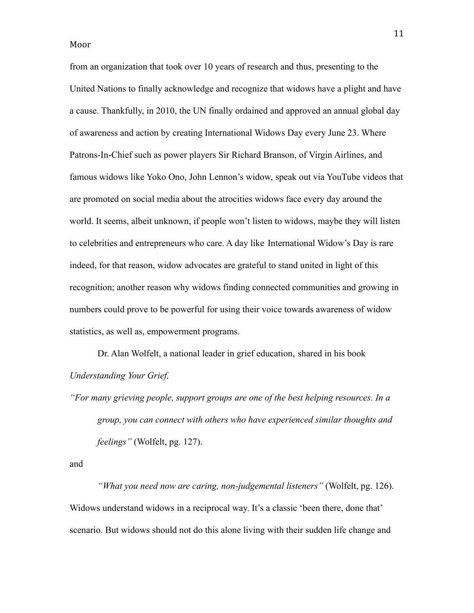from an organization that took over 10 years of research and thus, presenting to the United Nations to finally acknowledge and recognize that widows have a plight and have a cause. Thankfully, in 2010, the UN finally ordained and approved an annual global day of awareness and action by creating International Widows Day every June 23. Where Patrons-In-Chief such as power players Sir Richard Branson, of Virgin Airlines, and famous widows like Yoko Ono, John Lennon's widow, speak out via YouTube videos that are promoted on social media about the atrocities widows face every day around the world. It seems, albeit unknown, if people won't listen to widows, maybe they will listen to celebrities and entrepreneurs who care. A day like International Widow's Day is rare indeed, for that reason, widow advocates are grateful to stand united in light of this recognition; another reason why widows finding connected communities and growing in numbers could prove to be powerful for using their voice towards awareness of widow statistics, as well as, empowerment programs.

Dr. Alan Wolfelt, a national leader in grief education, shared in his book *Understanding Your Grief,*

*"For many grieving people, support groups are one of the best helping resources. In a group, you can connect with others who have experienced similar thoughts and feelings"* (Wolfelt, pg. 127).

and

*"What you need now are caring, non-judgemental listeners"* (Wolfelt, pg. 126). Widows understand widows in a reciprocal way. It's a classic 'been there, done that' scenario. But widows should not do this alone living with their sudden life change and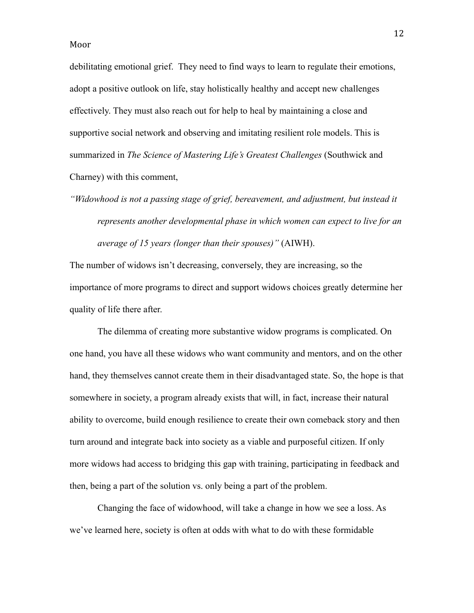debilitating emotional grief. They need to find ways to learn to regulate their emotions, adopt a positive outlook on life, stay holistically healthy and accept new challenges effectively. They must also reach out for help to heal by maintaining a close and supportive social network and observing and imitating resilient role models. This is summarized in *The Science of Mastering Life's Greatest Challenges* (Southwick and Charney) with this comment,

*"Widowhood is not a passing stage of grief, bereavement, and adjustment, but instead it represents another developmental phase in which women can expect to live for an average of 15 years (longer than their spouses)"* (AIWH).

The number of widows isn't decreasing, conversely, they are increasing, so the importance of more programs to direct and support widows choices greatly determine her quality of life there after.

The dilemma of creating more substantive widow programs is complicated. On one hand, you have all these widows who want community and mentors, and on the other hand, they themselves cannot create them in their disadvantaged state. So, the hope is that somewhere in society, a program already exists that will, in fact, increase their natural ability to overcome, build enough resilience to create their own comeback story and then turn around and integrate back into society as a viable and purposeful citizen. If only more widows had access to bridging this gap with training, participating in feedback and then, being a part of the solution vs. only being a part of the problem.

Changing the face of widowhood, will take a change in how we see a loss. As we've learned here, society is often at odds with what to do with these formidable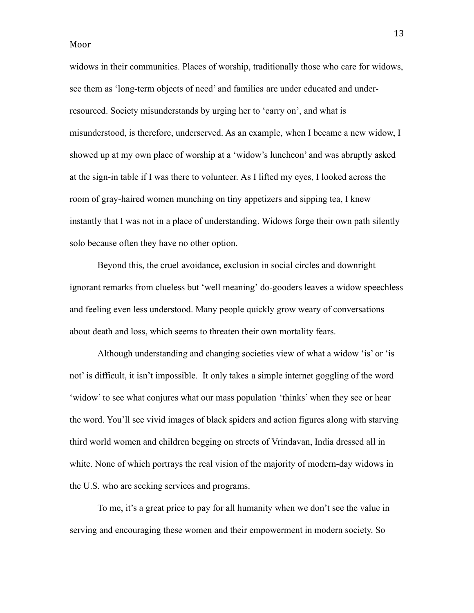widows in their communities. Places of worship, traditionally those who care for widows, see them as 'long-term objects of need' and families are under educated and underresourced. Society misunderstands by urging her to 'carry on', and what is misunderstood, is therefore, underserved. As an example, when I became a new widow, I showed up at my own place of worship at a 'widow's luncheon' and was abruptly asked at the sign-in table if I was there to volunteer. As I lifted my eyes, I looked across the room of gray-haired women munching on tiny appetizers and sipping tea, I knew instantly that I was not in a place of understanding. Widows forge their own path silently solo because often they have no other option.

Beyond this, the cruel avoidance, exclusion in social circles and downright ignorant remarks from clueless but 'well meaning' do-gooders leaves a widow speechless and feeling even less understood. Many people quickly grow weary of conversations about death and loss, which seems to threaten their own mortality fears.

Although understanding and changing societies view of what a widow 'is' or 'is not' is difficult, it isn't impossible. It only takes a simple internet goggling of the word 'widow' to see what conjures what our mass population 'thinks' when they see or hear the word. You'll see vivid images of black spiders and action figures along with starving third world women and children begging on streets of Vrindavan, India dressed all in white. None of which portrays the real vision of the majority of modern-day widows in the U.S. who are seeking services and programs.

To me, it's a great price to pay for all humanity when we don't see the value in serving and encouraging these women and their empowerment in modern society. So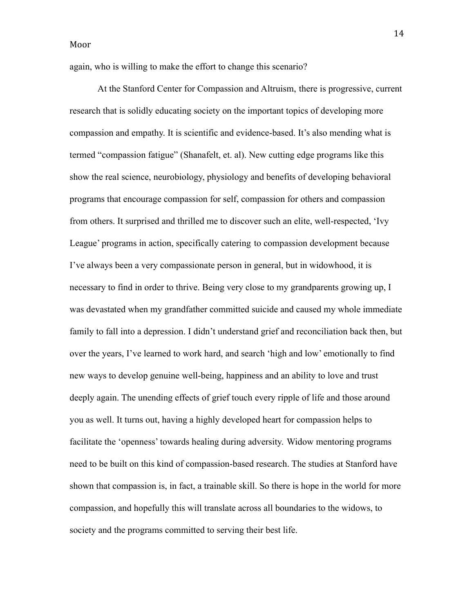again, who is willing to make the effort to change this scenario?

At the Stanford Center for Compassion and Altruism, there is progressive, current research that is solidly educating society on the important topics of developing more compassion and empathy. It is scientific and evidence-based. It's also mending what is termed "compassion fatigue" (Shanafelt, et. al). New cutting edge programs like this show the real science, neurobiology, physiology and benefits of developing behavioral programs that encourage compassion for self, compassion for others and compassion from others. It surprised and thrilled me to discover such an elite, well-respected, 'Ivy League' programs in action, specifically catering to compassion development because I've always been a very compassionate person in general, but in widowhood, it is necessary to find in order to thrive. Being very close to my grandparents growing up, I was devastated when my grandfather committed suicide and caused my whole immediate family to fall into a depression. I didn't understand grief and reconciliation back then, but over the years, I've learned to work hard, and search 'high and low' emotionally to find new ways to develop genuine well-being, happiness and an ability to love and trust deeply again. The unending effects of grief touch every ripple of life and those around you as well. It turns out, having a highly developed heart for compassion helps to facilitate the 'openness' towards healing during adversity. Widow mentoring programs need to be built on this kind of compassion-based research. The studies at Stanford have shown that compassion is, in fact, a trainable skill. So there is hope in the world for more compassion, and hopefully this will translate across all boundaries to the widows, to society and the programs committed to serving their best life.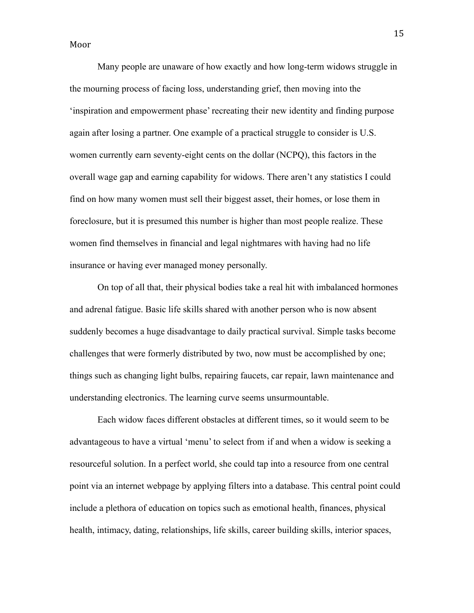Many people are unaware of how exactly and how long-term widows struggle in the mourning process of facing loss, understanding grief, then moving into the 'inspiration and empowerment phase' recreating their new identity and finding purpose again after losing a partner. One example of a practical struggle to consider is U.S. women currently earn seventy-eight cents on the dollar (NCPQ), this factors in the overall wage gap and earning capability for widows. There aren't any statistics I could find on how many women must sell their biggest asset, their homes, or lose them in foreclosure, but it is presumed this number is higher than most people realize. These women find themselves in financial and legal nightmares with having had no life insurance or having ever managed money personally.

On top of all that, their physical bodies take a real hit with imbalanced hormones and adrenal fatigue. Basic life skills shared with another person who is now absent suddenly becomes a huge disadvantage to daily practical survival. Simple tasks become challenges that were formerly distributed by two, now must be accomplished by one; things such as changing light bulbs, repairing faucets, car repair, lawn maintenance and understanding electronics. The learning curve seems unsurmountable.

Each widow faces different obstacles at different times, so it would seem to be advantageous to have a virtual 'menu' to select from if and when a widow is seeking a resourceful solution. In a perfect world, she could tap into a resource from one central point via an internet webpage by applying filters into a database. This central point could include a plethora of education on topics such as emotional health, finances, physical health, intimacy, dating, relationships, life skills, career building skills, interior spaces,

15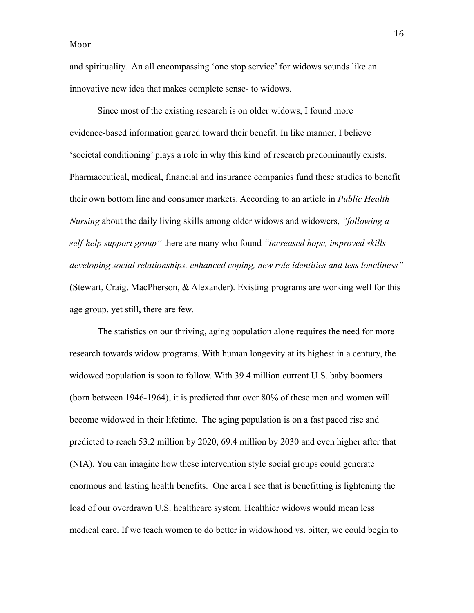and spirituality. An all encompassing 'one stop service' for widows sounds like an innovative new idea that makes complete sense- to widows.

Since most of the existing research is on older widows, I found more evidence-based information geared toward their benefit. In like manner, I believe 'societal conditioning' plays a role in why this kind of research predominantly exists. Pharmaceutical, medical, financial and insurance companies fund these studies to benefit their own bottom line and consumer markets. According to an article in *Public Health Nursing* about the daily living skills among older widows and widowers, *"following a self-help support group"* there are many who found *"increased hope, improved skills developing social relationships, enhanced coping, new role identities and less loneliness"* (Stewart, Craig, MacPherson, & Alexander). Existing programs are working well for this age group, yet still, there are few.

The statistics on our thriving, aging population alone requires the need for more research towards widow programs. With human longevity at its highest in a century, the widowed population is soon to follow. With 39.4 million current U.S. baby boomers (born between 1946-1964), it is predicted that over 80% of these men and women will become widowed in their lifetime. The aging population is on a fast paced rise and predicted to reach 53.2 million by 2020, 69.4 million by 2030 and even higher after that (NIA). You can imagine how these intervention style social groups could generate enormous and lasting health benefits. One area I see that is benefitting is lightening the load of our overdrawn U.S. healthcare system. Healthier widows would mean less medical care. If we teach women to do better in widowhood vs. bitter, we could begin to

16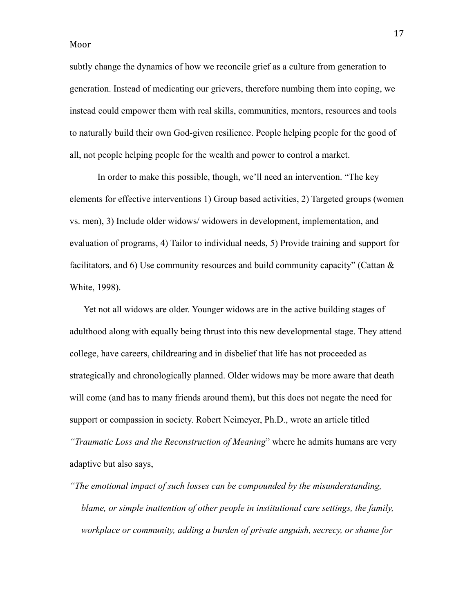subtly change the dynamics of how we reconcile grief as a culture from generation to generation. Instead of medicating our grievers, therefore numbing them into coping, we instead could empower them with real skills, communities, mentors, resources and tools to naturally build their own God-given resilience. People helping people for the good of all, not people helping people for the wealth and power to control a market.

In order to make this possible, though, we'll need an intervention. "The key elements for effective interventions 1) Group based activities, 2) Targeted groups (women vs. men), 3) Include older widows/ widowers in development, implementation, and evaluation of programs, 4) Tailor to individual needs, 5) Provide training and support for facilitators, and 6) Use community resources and build community capacity" (Cattan  $\&$ White, 1998).

Yet not all widows are older. Younger widows are in the active building stages of adulthood along with equally being thrust into this new developmental stage. They attend college, have careers, childrearing and in disbelief that life has not proceeded as strategically and chronologically planned. Older widows may be more aware that death will come (and has to many friends around them), but this does not negate the need for support or compassion in society. Robert Neimeyer, Ph.D., wrote an article titled *"Traumatic Loss and the Reconstruction of Meaning*" where he admits humans are very adaptive but also says,

*"The emotional impact of such losses can be compounded by the misunderstanding, blame, or simple inattention of other people in institutional care settings, the family, workplace or community, adding a burden of private anguish, secrecy, or shame for*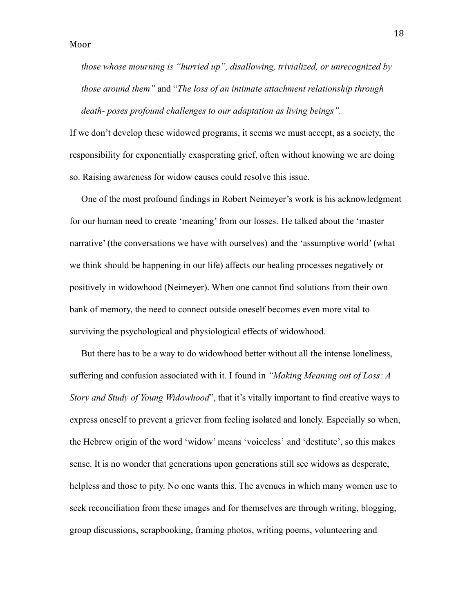*those whose mourning is "hurried up", disallowing, trivialized, or unrecognized by those around them"* and "*The loss of an intimate attachment relationship through death- poses profound challenges to our adaptation as living beings".*

If we don't develop these widowed programs, it seems we must accept, as a society, the responsibility for exponentially exasperating grief, often without knowing we are doing so. Raising awareness for widow causes could resolve this issue.

One of the most profound findings in Robert Neimeyer's work is his acknowledgment for our human need to create 'meaning' from our losses. He talked about the 'master narrative' (the conversations we have with ourselves) and the 'assumptive world' (what we think should be happening in our life) affects our healing processes negatively or positively in widowhood (Neimeyer). When one cannot find solutions from their own bank of memory, the need to connect outside oneself becomes even more vital to surviving the psychological and physiological effects of widowhood.

But there has to be a way to do widowhood better without all the intense loneliness, suffering and confusion associated with it. I found in *"Making Meaning out of Loss: A Story and Study of Young Widowhood*", that it's vitally important to find creative ways to express oneself to prevent a griever from feeling isolated and lonely. Especially so when, the Hebrew origin of the word 'widow' means 'voiceless' and 'destitute', so this makes sense. It is no wonder that generations upon generations still see widows as desperate, helpless and those to pity. No one wants this. The avenues in which many women use to seek reconciliation from these images and for themselves are through writing, blogging, group discussions, scrapbooking, framing photos, writing poems, volunteering and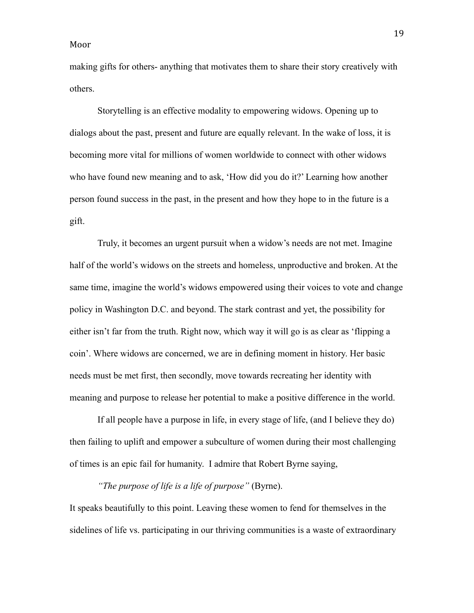making gifts for others- anything that motivates them to share their story creatively with others.

Storytelling is an effective modality to empowering widows. Opening up to dialogs about the past, present and future are equally relevant. In the wake of loss, it is becoming more vital for millions of women worldwide to connect with other widows who have found new meaning and to ask, 'How did you do it?' Learning how another person found success in the past, in the present and how they hope to in the future is a gift.

Truly, it becomes an urgent pursuit when a widow's needs are not met. Imagine half of the world's widows on the streets and homeless, unproductive and broken. At the same time, imagine the world's widows empowered using their voices to vote and change policy in Washington D.C. and beyond. The stark contrast and yet, the possibility for either isn't far from the truth. Right now, which way it will go is as clear as 'flipping a coin'. Where widows are concerned, we are in defining moment in history. Her basic needs must be met first, then secondly, move towards recreating her identity with meaning and purpose to release her potential to make a positive difference in the world.

If all people have a purpose in life, in every stage of life, (and I believe they do) then failing to uplift and empower a subculture of women during their most challenging of times is an epic fail for humanity. I admire that Robert Byrne saying,

*"The purpose of life is a life of purpose"* (Byrne).

It speaks beautifully to this point. Leaving these women to fend for themselves in the sidelines of life vs. participating in our thriving communities is a waste of extraordinary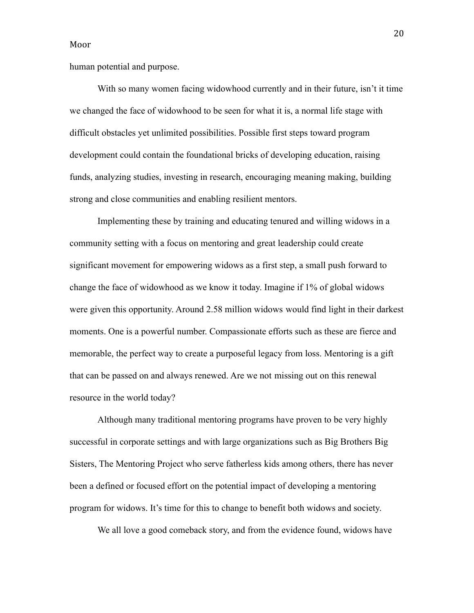human potential and purpose.

With so many women facing widowhood currently and in their future, isn't it time we changed the face of widowhood to be seen for what it is, a normal life stage with difficult obstacles yet unlimited possibilities. Possible first steps toward program development could contain the foundational bricks of developing education, raising funds, analyzing studies, investing in research, encouraging meaning making, building strong and close communities and enabling resilient mentors.

Implementing these by training and educating tenured and willing widows in a community setting with a focus on mentoring and great leadership could create significant movement for empowering widows as a first step, a small push forward to change the face of widowhood as we know it today. Imagine if 1% of global widows were given this opportunity. Around 2.58 million widows would find light in their darkest moments. One is a powerful number. Compassionate efforts such as these are fierce and memorable, the perfect way to create a purposeful legacy from loss. Mentoring is a gift that can be passed on and always renewed. Are we not missing out on this renewal resource in the world today?

Although many traditional mentoring programs have proven to be very highly successful in corporate settings and with large organizations such as Big Brothers Big Sisters, The Mentoring Project who serve fatherless kids among others, there has never been a defined or focused effort on the potential impact of developing a mentoring program for widows. It's time for this to change to benefit both widows and society.

We all love a good comeback story, and from the evidence found, widows have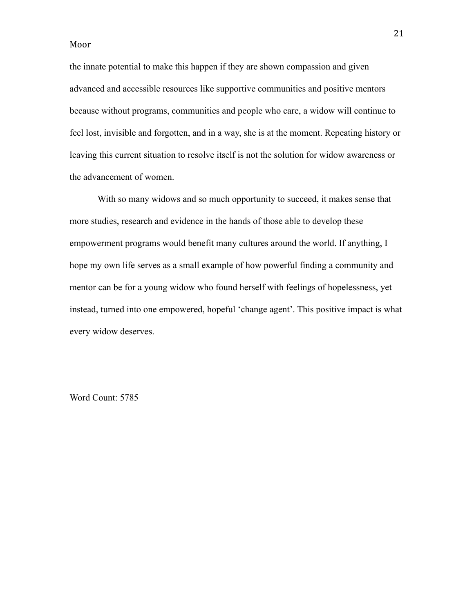the innate potential to make this happen if they are shown compassion and given advanced and accessible resources like supportive communities and positive mentors because without programs, communities and people who care, a widow will continue to feel lost, invisible and forgotten, and in a way, she is at the moment. Repeating history or leaving this current situation to resolve itself is not the solution for widow awareness or the advancement of women.

With so many widows and so much opportunity to succeed, it makes sense that more studies, research and evidence in the hands of those able to develop these empowerment programs would benefit many cultures around the world. If anything, I hope my own life serves as a small example of how powerful finding a community and mentor can be for a young widow who found herself with feelings of hopelessness, yet instead, turned into one empowered, hopeful 'change agent'. This positive impact is what every widow deserves.

Word Count: 5785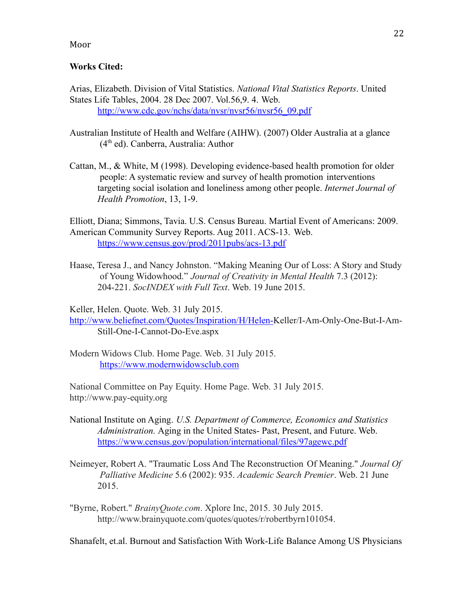## **Works Cited:**

Arias, Elizabeth. Division of Vital Statistics. *National Vital Statistics Reports*. United States Life Tables, 2004. 28 Dec 2007. Vol.56,9. 4. Web. [http://www.cdc.gov/nchs/data/nvsr/nvsr56/nvsr56\\_09.pdf](http://www.cdc.gov/nchs/data/nvsr/nvsr56/nvsr56_09.pdf)

- Australian Institute of Health and Welfare (AIHW). (2007) Older Australia at a glance  $(4<sup>th</sup>$  ed). Canberra, Australia: Author
- Cattan, M., & White, M (1998). Developing evidence-based health promotion for older people: A systematic review and survey of health promotion interventions targeting social isolation and loneliness among other people. *Internet Journal of Health Promotion*, 13, 1-9.

Elliott, Diana; Simmons, Tavia. U.S. Census Bureau. Martial Event of Americans: 2009. American Community Survey Reports. Aug 2011. ACS-13. Web. <https://www.census.gov/prod/2011pubs/acs-13.pdf>

Haase, Teresa J., and Nancy Johnston. "Making Meaning Our of Loss: A Story and Study of Young Widowhood." *Journal of Creativity in Mental Health* 7.3 (2012): 204-221. *SocINDEX with Full Text*. Web. 19 June 2015.

Keller, Helen. Quote. Web. 31 July 2015.

<http://www.beliefnet.com/Quotes/Inspiration/H/Helen->Keller/I-Am-Only-One-But-I-Am-Still-One-I-Cannot-Do-Eve.aspx

Modern Widows Club. Home Page. Web. 31 July 2015. <https://www.modernwidowsclub.com>

National Committee on Pay Equity. Home Page. Web. 31 July 2015. http://www.pay-equity.org

- National Institute on Aging. *U.S. Department of Commerce, Economics and Statistics Administration.* Aging in the United States- Past, Present, and Future. Web. <https://www.census.gov/population/international/files/97agewc.pdf>
- Neimeyer, Robert A. "Traumatic Loss And The Reconstruction Of Meaning." *Journal Of Palliative Medicine* 5.6 (2002): 935. *Academic Search Premier*. Web. 21 June 2015.
- "Byrne, Robert." *BrainyQuote.com*. Xplore Inc, 2015. 30 July 2015. http://www.brainyquote.com/quotes/quotes/r/robertbyrn101054.

Shanafelt, et.al. Burnout and Satisfaction With Work-Life Balance Among US Physicians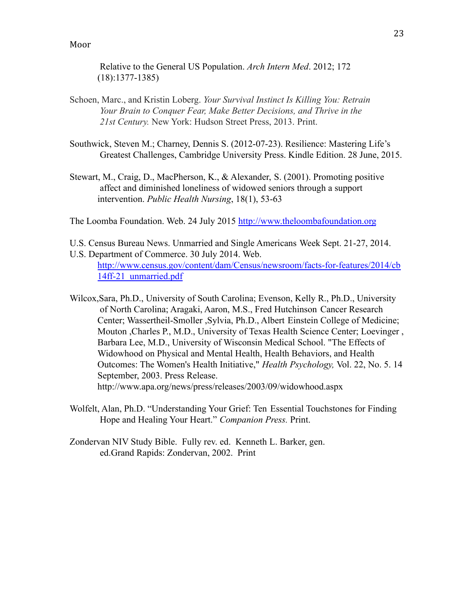Relative to the General US Population. *Arch Intern Med*. 2012; 172 (18):1377-1385)

- Schoen, Marc., and Kristin Loberg. *Your Survival Instinct Is Killing You: Retrain Your Brain to Conquer Fear, Make Better Decisions, and Thrive in the 21st Century.* New York: Hudson Street Press, 2013. Print.
- Southwick, Steven M.; Charney, Dennis S. (2012-07-23). Resilience: Mastering Life's Greatest Challenges, Cambridge University Press. Kindle Edition. 28 June, 2015.
- Stewart, M., Craig, D., MacPherson, K., & Alexander, S. (2001). Promoting positive affect and diminished loneliness of widowed seniors through a support intervention. *Public Health Nursing*, 18(1), 53-63

The Loomba Foundation. Web. 24 July 2015 <http://www.theloombafoundation.org>

- U.S. Census Bureau News. Unmarried and Single Americans Week Sept. 21-27, 2014.
- U.S. Department of Commerce. 30 July 2014. Web. [http://www.census.gov/content/dam/Census/newsroom/facts-for-features/2014/cb](http://www.census.gov/content/dam/Census/newsroom/facts-for-features/2014/cb14ff-21_unmarried.pdf) [14ff-21\\_unmarried.pdf](http://www.census.gov/content/dam/Census/newsroom/facts-for-features/2014/cb14ff-21_unmarried.pdf)
- Wilcox,Sara, Ph.D., University of South Carolina; Evenson, Kelly R., Ph.D., University of North Carolina; Aragaki, Aaron, M.S., Fred Hutchinson Cancer Research Center; Wassertheil-Smoller ,Sylvia, Ph.D., Albert Einstein College of Medicine; Mouton ,Charles P., M.D., University of Texas Health Science Center; Loevinger , Barbara Lee, M.D., University of Wisconsin Medical School. "The Effects of Widowhood on Physical and Mental Health, Health Behaviors, and Health Outcomes: The Women's Health Initiative," *Health Psychology,* Vol. 22, No. 5. 14 September, 2003. Press Release. http://www.apa.org/news/press/releases/2003/09/widowhood.aspx
- Wolfelt, Alan, Ph.D. "Understanding Your Grief: Ten Essential Touchstones for Finding Hope and Healing Your Heart." *Companion Press.* Print.
- Zondervan NIV Study Bible. Fully rev. ed. Kenneth L. Barker, gen. ed.Grand Rapids: Zondervan, 2002. Print